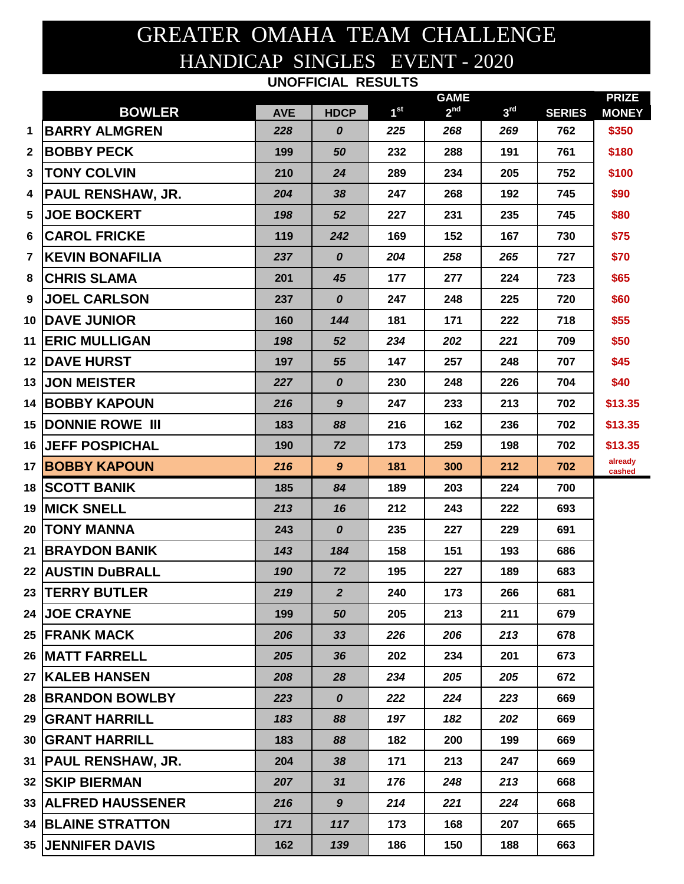## GREATER OMAHA TEAM CHALLENGE HANDICAP SINGLES EVENT - 2020 **UNOFFICIAL RESULTS**

|                         |                             |            |                  |                 | <b>GAME</b>     |                 |               | <b>PRIZE</b>      |
|-------------------------|-----------------------------|------------|------------------|-----------------|-----------------|-----------------|---------------|-------------------|
|                         | <b>BOWLER</b>               | <b>AVE</b> | <b>HDCP</b>      | 1 <sup>st</sup> | 2 <sup>nd</sup> | 3 <sup>rd</sup> | <b>SERIES</b> | <b>MONEY</b>      |
| 1                       | <b>BARRY ALMGREN</b>        | 228        | $\boldsymbol{0}$ | 225             | 268             | 269             | 762           | \$350             |
| $\mathbf{2}$            | <b>BOBBY PECK</b>           | 199        | 50               | 232             | 288             | 191             | 761           | \$180             |
| 3                       | <b>TONY COLVIN</b>          | 210        | 24               | 289             | 234             | 205             | 752           | \$100             |
| 4                       | <b>PAUL RENSHAW, JR.</b>    | 204        | 38               | 247             | 268             | 192             | 745           | \$90              |
| 5                       | <b>JOE BOCKERT</b>          | 198        | 52               | 227             | 231             | 235             | 745           | \$80              |
| 6                       | <b>CAROL FRICKE</b>         | 119        | 242              | 169             | 152             | 167             | 730           | \$75              |
| $\overline{\mathbf{r}}$ | <b>KEVIN BONAFILIA</b>      | 237        | $\boldsymbol{0}$ | 204             | 258             | 265             | 727           | \$70              |
| 8                       | <b>CHRIS SLAMA</b>          | 201        | 45               | 177             | 277             | 224             | 723           | \$65              |
| 9                       | <b>JOEL CARLSON</b>         | 237        | $\boldsymbol{o}$ | 247             | 248             | 225             | 720           | \$60              |
|                         | <b>10 DAVE JUNIOR</b>       | 160        | 144              | 181             | 171             | 222             | 718           | \$55              |
|                         | <b>11 ERIC MULLIGAN</b>     | 198        | 52               | 234             | 202             | 221             | 709           | \$50              |
|                         | <b>12  DAVE HURST</b>       | 197        | 55               | 147             | 257             | 248             | 707           | \$45              |
|                         | <b>13 JON MEISTER</b>       | 227        | $\boldsymbol{o}$ | 230             | 248             | 226             | 704           | \$40              |
|                         | <b>14 BOBBY KAPOUN</b>      | 216        | $\boldsymbol{9}$ | 247             | 233             | 213             | 702           | \$13.35           |
|                         | <b>15 DONNIE ROWE III</b>   | 183        | 88               | 216             | 162             | 236             | 702           | \$13.35           |
|                         | <b>16  JEFF POSPICHAL</b>   | 190        | 72               | 173             | 259             | 198             | 702           | \$13.35           |
|                         | <b>17 BOBBY KAPOUN</b>      | 216        | 9                | 181             | 300             | 212             | 702           | already<br>cashed |
|                         | <b>18 SCOTT BANIK</b>       | 185        | 84               | 189             | 203             | 224             | 700           |                   |
|                         | <b>19  MICK SNELL</b>       | 213        | 16               | 212             | 243             | 222             | 693           |                   |
|                         | 20  TONY MANNA              | 243        | $\boldsymbol{o}$ | 235             | 227             | 229             | 691           |                   |
|                         | <b>21 IBRAYDON BANIK</b>    | 143        | 184              | 158             | 151             | 193             | 686           |                   |
|                         | 22  AUSTIN DuBRALL          | 190        | 72               | 195             | 227             | 189             | 683           |                   |
|                         | <b>23  TERRY BUTLER</b>     | 219        | $\overline{2}$   | 240             | 173             | 266             | 681           |                   |
|                         | <b>24  JOE CRAYNE</b>       | 199        | 50               | 205             | 213             | 211             | 679           |                   |
|                         | 25  FRANK MACK              | 206        | 33               | 226             | 206             | 213             | 678           |                   |
|                         | <b>26 IMATT FARRELL</b>     | 205        | 36               | 202             | 234             | 201             | 673           |                   |
|                         | <b>27  KALEB HANSEN</b>     | 208        | 28               | 234             | 205             | 205             | 672           |                   |
|                         | <b>28 BRANDON BOWLBY</b>    | 223        | 0                | 222             | 224             | 223             | 669           |                   |
|                         | <b>29 IGRANT HARRILL</b>    | 183        | 88               | 197             | 182             | 202             | 669           |                   |
|                         | <b>30 IGRANT HARRILL</b>    | 183        | 88               | 182             | 200             | 199             | 669           |                   |
|                         | 31  PAUL RENSHAW, JR.       | 204        | 38               | 171             | 213             | 247             | 669           |                   |
|                         | <b>32  SKIP BIERMAN</b>     | 207        | 31               | 176             | 248             | 213             | 668           |                   |
|                         | <b>33  ALFRED HAUSSENER</b> | 216        | $9^{\circ}$      | 214             | 221             | 224             | 668           |                   |
|                         | <b>34 BLAINE STRATTON</b>   | 171        | 117              | 173             | 168             | 207             | 665           |                   |
|                         | <b>35 JENNIFER DAVIS</b>    | 162        | 139              | 186             | 150             | 188             | 663           |                   |
|                         |                             |            |                  |                 |                 |                 |               |                   |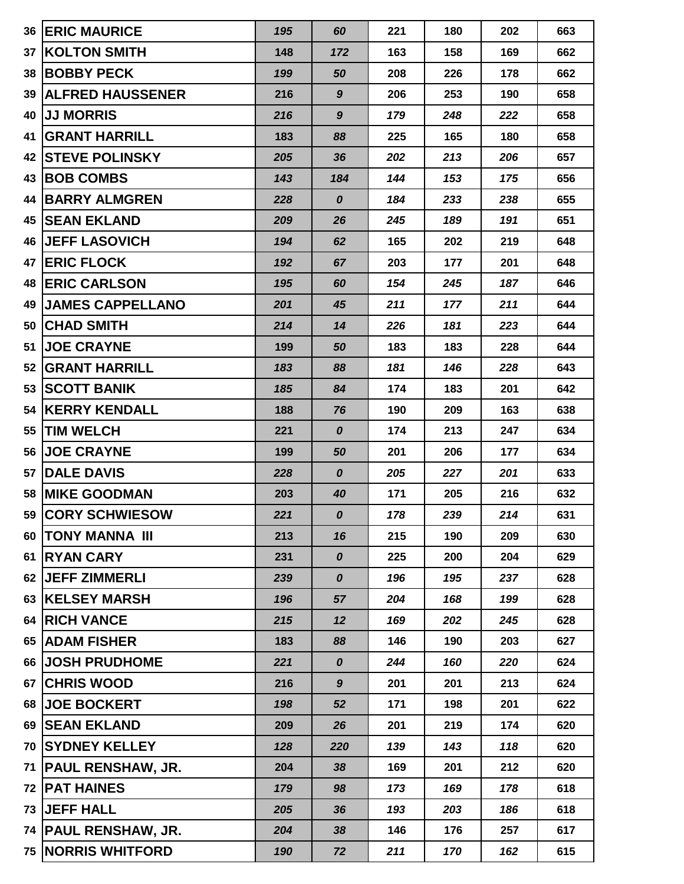| 36 | <b>ERIC MAURICE</b>       | 195 | 60               | 221 | 180 | 202 | 663 |
|----|---------------------------|-----|------------------|-----|-----|-----|-----|
| 37 | <b>KOLTON SMITH</b>       | 148 | 172              | 163 | 158 | 169 | 662 |
| 38 | <b>BOBBY PECK</b>         | 199 | 50               | 208 | 226 | 178 | 662 |
| 39 | <b>ALFRED HAUSSENER</b>   | 216 | $\boldsymbol{9}$ | 206 | 253 | 190 | 658 |
| 40 | <b>JJ MORRIS</b>          | 216 | 9                | 179 | 248 | 222 | 658 |
| 41 | <b>GRANT HARRILL</b>      | 183 | 88               | 225 | 165 | 180 | 658 |
| 42 | <b>STEVE POLINSKY</b>     | 205 | 36               | 202 | 213 | 206 | 657 |
| 43 | <b>BOB COMBS</b>          | 143 | 184              | 144 | 153 | 175 | 656 |
| 44 | <b>BARRY ALMGREN</b>      | 228 | $\boldsymbol{0}$ | 184 | 233 | 238 | 655 |
| 45 | <b>SEAN EKLAND</b>        | 209 | 26               | 245 | 189 | 191 | 651 |
| 46 | <b>JEFF LASOVICH</b>      | 194 | 62               | 165 | 202 | 219 | 648 |
| 47 | <b>ERIC FLOCK</b>         | 192 | 67               | 203 | 177 | 201 | 648 |
| 48 | <b>IERIC CARLSON</b>      | 195 | 60               | 154 | 245 | 187 | 646 |
| 49 | <b>JAMES CAPPELLANO</b>   | 201 | 45               | 211 | 177 | 211 | 644 |
| 50 | <b>CHAD SMITH</b>         | 214 | 14               | 226 | 181 | 223 | 644 |
| 51 | <b>JOE CRAYNE</b>         | 199 | 50               | 183 | 183 | 228 | 644 |
| 52 | <b>GRANT HARRILL</b>      | 183 | 88               | 181 | 146 | 228 | 643 |
| 53 | <b>SCOTT BANIK</b>        | 185 | 84               | 174 | 183 | 201 | 642 |
| 54 | <b>KERRY KENDALL</b>      | 188 | 76               | 190 | 209 | 163 | 638 |
| 55 | <b>TIM WELCH</b>          | 221 | $\boldsymbol{0}$ | 174 | 213 | 247 | 634 |
| 56 | <b>JOE CRAYNE</b>         | 199 | 50               | 201 | 206 | 177 | 634 |
| 57 | <b>DALE DAVIS</b>         | 228 | $\boldsymbol{o}$ | 205 | 227 | 201 | 633 |
| 58 | <b>IMIKE GOODMAN</b>      | 203 | 40               | 171 | 205 | 216 | 632 |
|    | 59 CORY SCHWIESOW         | 221 | 0                | 178 | 239 | 214 | 631 |
|    | 60   TONY MANNA III       | 213 | 16               | 215 | 190 | 209 | 630 |
| 61 | <b>RYAN CARY</b>          | 231 | $\boldsymbol{o}$ | 225 | 200 | 204 | 629 |
| 62 | <b>JEFF ZIMMERLI</b>      | 239 | $\boldsymbol{o}$ | 196 | 195 | 237 | 628 |
|    | 63 KELSEY MARSH           | 196 | 57               | 204 | 168 | 199 | 628 |
| 64 | <b>RICH VANCE</b>         | 215 | 12               | 169 | 202 | 245 | 628 |
| 65 | <b>ADAM FISHER</b>        | 183 | 88               | 146 | 190 | 203 | 627 |
| 66 | <b>JOSH PRUDHOME</b>      | 221 | $\boldsymbol{o}$ | 244 | 160 | 220 | 624 |
| 67 | <b>CHRIS WOOD</b>         | 216 | $\boldsymbol{9}$ | 201 | 201 | 213 | 624 |
|    | 68 JOE BOCKERT            | 198 | 52               | 171 | 198 | 201 | 622 |
|    | 69 SEAN EKLAND            | 209 | 26               | 201 | 219 | 174 | 620 |
|    | 70 SYDNEY KELLEY          | 128 | 220              | 139 | 143 | 118 | 620 |
| 71 | <b>PAUL RENSHAW, JR.</b>  | 204 | 38               | 169 | 201 | 212 | 620 |
| 72 | <b>PAT HAINES</b>         | 179 | 98               | 173 | 169 | 178 | 618 |
| 73 | <b>JEFF HALL</b>          | 205 | 36               | 193 | 203 | 186 | 618 |
|    | 74   PAUL RENSHAW, JR.    | 204 | 38               | 146 | 176 | 257 | 617 |
|    | <b>75 NORRIS WHITFORD</b> | 190 | 72               | 211 | 170 | 162 | 615 |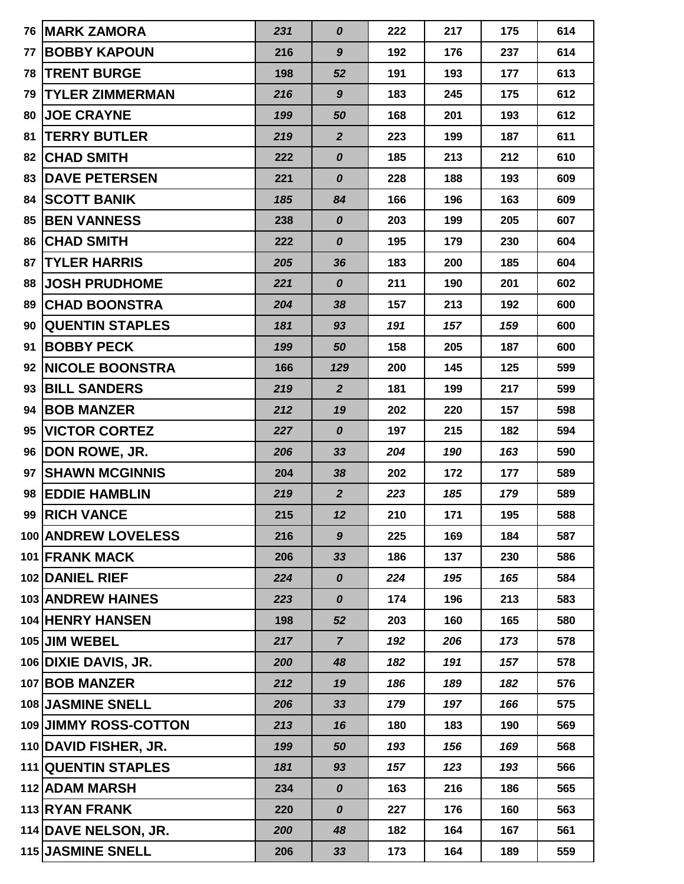|    | <b>76 MARK ZAMORA</b>  | 231 | 0                | 222 | 217 | 175 | 614 |
|----|------------------------|-----|------------------|-----|-----|-----|-----|
| 77 | <b>BOBBY KAPOUN</b>    | 216 | $\boldsymbol{9}$ | 192 | 176 | 237 | 614 |
| 78 | <b>TRENT BURGE</b>     | 198 | 52               | 191 | 193 | 177 | 613 |
| 79 | <b>TYLER ZIMMERMAN</b> | 216 | $\boldsymbol{9}$ | 183 | 245 | 175 | 612 |
| 80 | <b>JOE CRAYNE</b>      | 199 | 50               | 168 | 201 | 193 | 612 |
| 81 | <b>TERRY BUTLER</b>    | 219 | $\overline{2}$   | 223 | 199 | 187 | 611 |
| 82 | <b>CHAD SMITH</b>      | 222 | 0                | 185 | 213 | 212 | 610 |
| 83 | <b>DAVE PETERSEN</b>   | 221 | 0                | 228 | 188 | 193 | 609 |
| 84 | <b>SCOTT BANIK</b>     | 185 | 84               | 166 | 196 | 163 | 609 |
| 85 | <b>BEN VANNESS</b>     | 238 | $\boldsymbol{o}$ | 203 | 199 | 205 | 607 |
| 86 | <b>CHAD SMITH</b>      | 222 | 0                | 195 | 179 | 230 | 604 |
| 87 | <b>TYLER HARRIS</b>    | 205 | 36               | 183 | 200 | 185 | 604 |
| 88 | <b>JOSH PRUDHOME</b>   | 221 | 0                | 211 | 190 | 201 | 602 |
| 89 | <b>CHAD BOONSTRA</b>   | 204 | 38               | 157 | 213 | 192 | 600 |
| 90 | <b>QUENTIN STAPLES</b> | 181 | 93               | 191 | 157 | 159 | 600 |
| 91 | <b>BOBBY PECK</b>      | 199 | 50               | 158 | 205 | 187 | 600 |
| 92 | <b>NICOLE BOONSTRA</b> | 166 | 129              | 200 | 145 | 125 | 599 |
| 93 | <b>BILL SANDERS</b>    | 219 | $\overline{2}$   | 181 | 199 | 217 | 599 |
| 94 | <b>BOB MANZER</b>      | 212 | 19               | 202 | 220 | 157 | 598 |
| 95 | <b>VICTOR CORTEZ</b>   | 227 | 0                | 197 | 215 | 182 | 594 |
|    | 96   DON ROWE, JR.     | 206 | 33               | 204 | 190 | 163 | 590 |
| 97 | <b>SHAWN MCGINNIS</b>  | 204 | 38               | 202 | 172 | 177 | 589 |
| 98 | <b>EDDIE HAMBLIN</b>   | 219 | $\overline{2}$   | 223 | 185 | 179 | 589 |
|    | 99 RICH VANCE          | 215 | 12               | 210 | 171 | 195 | 588 |
|    | 100 ANDREW LOVELESS    | 216 | $9^{\circ}$      | 225 | 169 | 184 | 587 |
|    | 101 FRANK MACK         | 206 | 33               | 186 | 137 | 230 | 586 |
|    | 102 DANIEL RIEF        | 224 | $\boldsymbol{o}$ | 224 | 195 | 165 | 584 |
|    | 103 ANDREW HAINES      | 223 | 0                | 174 | 196 | 213 | 583 |
|    | 104 HENRY HANSEN       | 198 | 52               | 203 | 160 | 165 | 580 |
|    | 105 JIM WEBEL          | 217 | $\overline{7}$   | 192 | 206 | 173 | 578 |
|    | 106 DIXIE DAVIS, JR.   | 200 | 48               | 182 | 191 | 157 | 578 |
|    | 107 BOB MANZER         | 212 | 19               | 186 | 189 | 182 | 576 |
|    | 108 JASMINE SNELL      | 206 | 33               | 179 | 197 | 166 | 575 |
|    | 109 JIMMY ROSS-COTTON  | 213 | 16               | 180 | 183 | 190 | 569 |
|    | 110 DAVID FISHER, JR.  | 199 | 50               | 193 | 156 | 169 | 568 |
|    | 111 QUENTIN STAPLES    | 181 | 93               | 157 | 123 | 193 | 566 |
|    | 112 ADAM MARSH         | 234 | 0                | 163 | 216 | 186 | 565 |
|    | 113 RYAN FRANK         | 220 | $\boldsymbol{o}$ | 227 | 176 | 160 | 563 |
|    | 114 DAVE NELSON, JR.   | 200 | 48               | 182 | 164 | 167 | 561 |
|    | 115 JASMINE SNELL      | 206 | 33               | 173 | 164 | 189 | 559 |